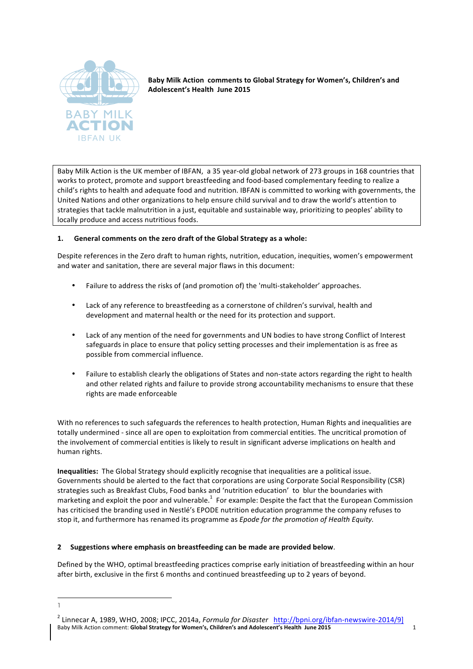

Baby Milk Action comments to Global Strategy for Women's, Children's and Adolescent's Health June 2015

Baby Milk Action is the UK member of IBFAN, a 35 year-old global network of 273 groups in 168 countries that works to protect, promote and support breastfeeding and food-based complementary feeding to realize a child's rights to health and adequate food and nutrition. IBFAN is committed to working with governments, the United Nations and other organizations to help ensure child survival and to draw the world's attention to strategies that tackle malnutrition in a just, equitable and sustainable way, prioritizing to peoples' ability to locally produce and access nutritious foods.

# 1. General comments on the zero draft of the Global Strategy as a whole:

Despite references in the Zero draft to human rights, nutrition, education, inequities, women's empowerment and water and sanitation, there are several major flaws in this document:

- Failure to address the risks of (and promotion of) the 'multi-stakeholder' approaches.
- Lack of any reference to breastfeeding as a cornerstone of children's survival, health and development and maternal health or the need for its protection and support.
- Lack of any mention of the need for governments and UN bodies to have strong Conflict of Interest safeguards in place to ensure that policy setting processes and their implementation is as free as possible from commercial influence.
- Failure to establish clearly the obligations of States and non-state actors regarding the right to health and other related rights and failure to provide strong accountability mechanisms to ensure that these rights are made enforceable

With no references to such safeguards the references to health protection, Human Rights and inequalities are totally undermined - since all are open to exploitation from commercial entities. The uncritical promotion of the involvement of commercial entities is likely to result in significant adverse implications on health and human rights.

**Inequalities:** The Global Strategy should explicitly recognise that inequalities are a political issue. Governments should be alerted to the fact that corporations are using Corporate Social Responsibility (CSR) strategies such as Breakfast Clubs, Food banks and 'nutrition education' to blur the boundaries with marketing and exploit the poor and vulnerable.<sup>1</sup> For example: Despite the fact that the European Commission has criticised the branding used in Nestlé's EPODE nutrition education programme the company refuses to stop it, and furthermore has renamed its programme as *Epode for the promotion of Health Equity*.

# **2** Suggestions where emphasis on breastfeeding can be made are provided below.

<u> 1989 - Jan Samuel Barbara, margaret e</u>

1

Defined by the WHO, optimal breastfeeding practices comprise early initiation of breastfeeding within an hour after birth, exclusive in the first 6 months and continued breastfeeding up to 2 years of beyond.

Baby Milk Action comment: Global Strategy for Women's, Children's and Adolescent's Health June 2015 1996 <sup>2</sup> Linnecar A, 1989, WHO, 2008; IPCC, 2014a, *Formula for Disaster* http://bpni.org/ibfan-newswire-2014/9]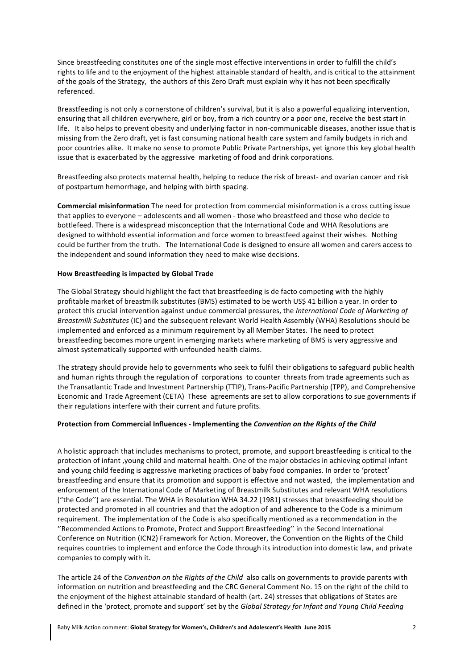Since breastfeeding constitutes one of the single most effective interventions in order to fulfill the child's rights to life and to the enjoyment of the highest attainable standard of health, and is critical to the attainment of the goals of the Strategy, the authors of this Zero Draft must explain why it has not been specifically referenced. 

Breastfeeding is not only a cornerstone of children's survival, but it is also a powerful equalizing intervention, ensuring that all children everywhere, girl or boy, from a rich country or a poor one, receive the best start in life. It also helps to prevent obesity and underlying factor in non-communicable diseases, another issue that is missing from the Zero draft, yet is fast consuming national health care system and family budgets in rich and poor countries alike. It make no sense to promote Public Private Partnerships, yet ignore this key global health issue that is exacerbated by the aggressive marketing of food and drink corporations.

Breastfeeding also protects maternal health, helping to reduce the risk of breast- and ovarian cancer and risk of postpartum hemorrhage, and helping with birth spacing.

**Commercial misinformation** The need for protection from commercial misinformation is a cross cutting issue that applies to everyone – adolescents and all women - those who breastfeed and those who decide to bottlefeed. There is a widespread misconception that the International Code and WHA Resolutions are designed to withhold essential information and force women to breastfeed against their wishes. Nothing could be further from the truth. The International Code is designed to ensure all women and carers access to the independent and sound information they need to make wise decisions.

### **How Breastfeeding is impacted by Global Trade**

The Global Strategy should highlight the fact that breastfeeding is de facto competing with the highly profitable market of breastmilk substitutes (BMS) estimated to be worth US\$ 41 billion a year. In order to protect this crucial intervention against undue commercial pressures, the *International Code of Marketing of Breastmilk Substitutes* (IC) and the subsequent relevant World Health Assembly (WHA) Resolutions should be implemented and enforced as a minimum requirement by all Member States. The need to protect breastfeeding becomes more urgent in emerging markets where marketing of BMS is very aggressive and almost systematically supported with unfounded health claims.

The strategy should provide help to governments who seek to fulfil their obligations to safeguard public health and human rights through the regulation of corporations to counter threats from trade agreements such as the Transatlantic Trade and Investment Partnership (TTIP), Trans-Pacific Partnership (TPP), and Comprehensive Economic and Trade Agreement (CETA) These agreements are set to allow corporations to sue governments if their regulations interfere with their current and future profits.

#### Protection from Commercial Influences - Implementing the *Convention* on the Rights of the Child

A holistic approach that includes mechanisms to protect, promote, and support breastfeeding is critical to the protection of infant , young child and maternal health. One of the major obstacles in achieving optimal infant and young child feeding is aggressive marketing practices of baby food companies. In order to 'protect' breastfeeding and ensure that its promotion and support is effective and not wasted, the implementation and enforcement of the International Code of Marketing of Breastmilk Substitutes and relevant WHA resolutions ("the Code") are essential. The WHA in Resolution WHA 34.22 [1981] stresses that breastfeeding should be protected and promoted in all countries and that the adoption of and adherence to the Code is a minimum requirement. The implementation of the Code is also specifically mentioned as a recommendation in the "Recommended Actions to Promote, Protect and Support Breastfeeding" in the Second International Conference on Nutrition (ICN2) Framework for Action. Moreover, the Convention on the Rights of the Child requires countries to implement and enforce the Code through its introduction into domestic law, and private companies to comply with it.

The article 24 of the *Convention on the Rights of the Child* also calls on governments to provide parents with information on nutrition and breastfeeding and the CRC General Comment No. 15 on the right of the child to the enjoyment of the highest attainable standard of health (art. 24) stresses that obligations of States are defined in the 'protect, promote and support' set by the *Global Strategy for Infant and Young Child Feeding*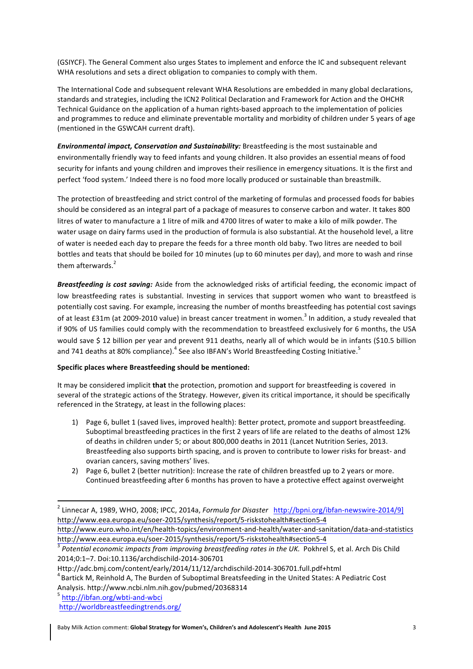(GSIYCF). The General Comment also urges States to implement and enforce the IC and subsequent relevant WHA resolutions and sets a direct obligation to companies to comply with them.

The International Code and subsequent relevant WHA Resolutions are embedded in many global declarations, standards and strategies, including the ICN2 Political Declaration and Framework for Action and the OHCHR Technical Guidance on the application of a human rights-based approach to the implementation of policies and programmes to reduce and eliminate preventable mortality and morbidity of children under 5 years of age (mentioned in the GSWCAH current draft).

**Environmental impact, Conservation and Sustainability:** Breastfeeding is the most sustainable and environmentally friendly way to feed infants and young children. It also provides an essential means of food security for infants and young children and improves their resilience in emergency situations. It is the first and perfect 'food system.' Indeed there is no food more locally produced or sustainable than breastmilk.

The protection of breastfeeding and strict control of the marketing of formulas and processed foods for babies should be considered as an integral part of a package of measures to conserve carbon and water. It takes 800 litres of water to manufacture a 1 litre of milk and 4700 litres of water to make a kilo of milk powder. The water usage on dairy farms used in the production of formula is also substantial. At the household level, a litre of water is needed each day to prepare the feeds for a three month old baby. Two litres are needed to boil bottles and teats that should be boiled for 10 minutes (up to 60 minutes per day), and more to wash and rinse them afterwards.<sup>2</sup>

**Breastfeeding is cost saving:** Aside from the acknowledged risks of artificial feeding, the economic impact of low breastfeeding rates is substantial. Investing in services that support women who want to breastfeed is potentially cost saving. For example, increasing the number of months breastfeeding has potential cost savings of at least  $£31m$  (at 2009-2010 value) in breast cancer treatment in women.<sup>3</sup> In addition, a study revealed that if 90% of US families could comply with the recommendation to breastfeed exclusively for 6 months, the USA would save \$ 12 billion per year and prevent 911 deaths, nearly all of which would be in infants (\$10.5 billion and 741 deaths at 80% compliance).<sup>4</sup> See also IBFAN's World Breastfeeding Costing Initiative.<sup>5</sup>

# **Specific places where Breastfeeding should be mentioned:**

It may be considered implicit **that** the protection, promotion and support for breastfeeding is covered in several of the strategic actions of the Strategy. However, given its critical importance, it should be specifically referenced in the Strategy, at least in the following places:

- 1) Page 6, bullet 1 (saved lives, improved health): Better protect, promote and support breastfeeding. Suboptimal breastfeeding practices in the first 2 years of life are related to the deaths of almost 12% of deaths in children under 5; or about 800,000 deaths in 2011 (Lancet Nutrition Series, 2013. Breastfeeding also supports birth spacing, and is proven to contribute to lower risks for breast- and ovarian cancers, saving mothers' lives.
- 2) Page 6, bullet 2 (better nutrition): Increase the rate of children breastfed up to 2 years or more. Continued breastfeeding after 6 months has proven to have a protective effect against overweight

 

<sup>&</sup>lt;sup>2</sup> Linnecar A, 1989, WHO, 2008; IPCC, 2014a, *Formula for Disaster* http://bpni.org/ibfan-newswire-2014/9] http://www.eea.europa.eu/soer-2015/synthesis/report/5-riskstohealth#section5-4

http://www.euro.who.int/en/health-topics/environment-and-health/water-and-sanitation/data-and-statistics http://www.eea.europa.eu/soer-2015/synthesis/report/5-riskstohealth#section5-4<br><sup>3</sup> *Potential economic impacts from improving breastfeeding rates in the UK.* Pokhrel S, et al. Arch Dis Child

<sup>2014;0:1–7.</sup> Doi:10.1136/archdischild-2014-306701

Http://adc.bmj.com/content/early/2014/11/12/archdischild-2014-306701.full.pdf+html <sup>4</sup>

 $4$  Bartick M, Reinhold A, The Burden of Suboptimal Breatsfeeding in the United States: A Pediatric Cost Analysis. http://www.ncbi.nlm.nih.gov/pubmed/20368314<br><sup>5</sup> http://ibfan.org/wbti-and-wbci

http://worldbreastfeedingtrends.org/